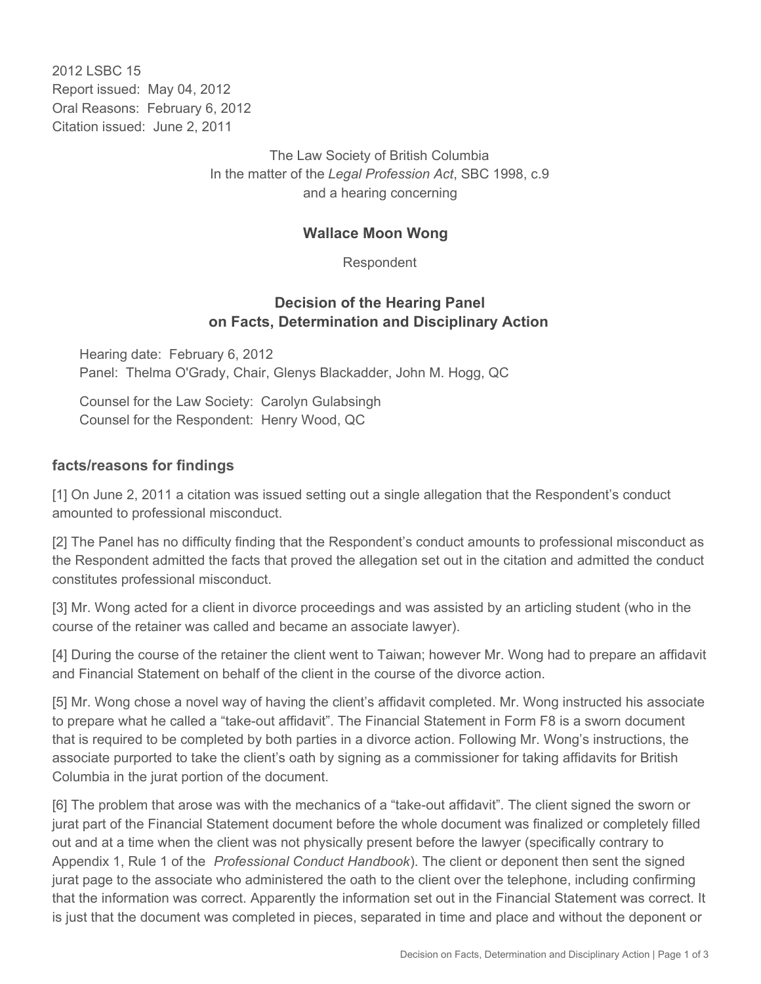2012 LSBC 15 Report issued: May 04, 2012 Oral Reasons: February 6, 2012 Citation issued: June 2, 2011

> The Law Society of British Columbia In the matter of the *Legal Profession Act*, SBC 1998, c.9 and a hearing concerning

## **Wallace Moon Wong**

Respondent

## **Decision of the Hearing Panel on Facts, Determination and Disciplinary Action**

Hearing date: February 6, 2012 Panel: Thelma O'Grady, Chair, Glenys Blackadder, John M. Hogg, QC

Counsel for the Law Society: Carolyn Gulabsingh Counsel for the Respondent: Henry Wood, QC

## **facts/reasons for findings**

[1] On June 2, 2011 a citation was issued setting out a single allegation that the Respondent's conduct amounted to professional misconduct.

[2] The Panel has no difficulty finding that the Respondent's conduct amounts to professional misconduct as the Respondent admitted the facts that proved the allegation set out in the citation and admitted the conduct constitutes professional misconduct.

[3] Mr. Wong acted for a client in divorce proceedings and was assisted by an articling student (who in the course of the retainer was called and became an associate lawyer).

[4] During the course of the retainer the client went to Taiwan; however Mr. Wong had to prepare an affidavit and Financial Statement on behalf of the client in the course of the divorce action.

[5] Mr. Wong chose a novel way of having the client's affidavit completed. Mr. Wong instructed his associate to prepare what he called a "take-out affidavit". The Financial Statement in Form F8 is a sworn document that is required to be completed by both parties in a divorce action. Following Mr. Wong's instructions, the associate purported to take the client's oath by signing as a commissioner for taking affidavits for British Columbia in the jurat portion of the document.

[6] The problem that arose was with the mechanics of a "take-out affidavit". The client signed the sworn or jurat part of the Financial Statement document before the whole document was finalized or completely filled out and at a time when the client was not physically present before the lawyer (specifically contrary to Appendix 1, Rule 1 of the *Professional Conduct Handbook*). The client or deponent then sent the signed jurat page to the associate who administered the oath to the client over the telephone, including confirming that the information was correct. Apparently the information set out in the Financial Statement was correct. It is just that the document was completed in pieces, separated in time and place and without the deponent or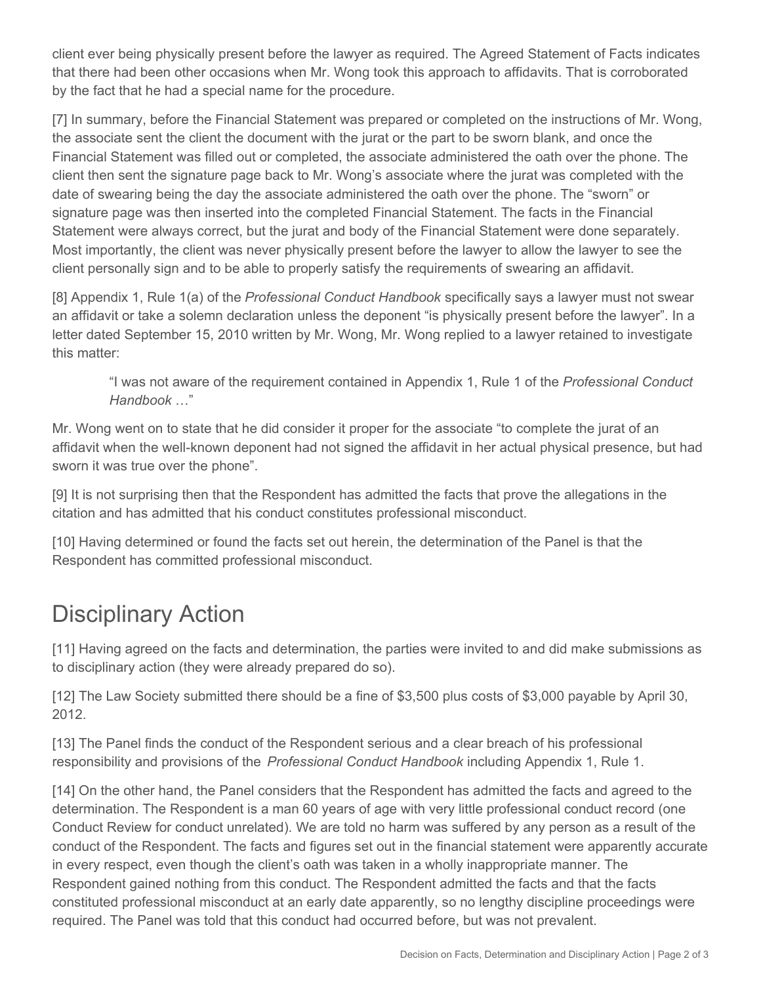client ever being physically present before the lawyer as required. The Agreed Statement of Facts indicates that there had been other occasions when Mr. Wong took this approach to affidavits. That is corroborated by the fact that he had a special name for the procedure.

[7] In summary, before the Financial Statement was prepared or completed on the instructions of Mr. Wong, the associate sent the client the document with the jurat or the part to be sworn blank, and once the Financial Statement was filled out or completed, the associate administered the oath over the phone. The client then sent the signature page back to Mr. Wong's associate where the jurat was completed with the date of swearing being the day the associate administered the oath over the phone. The "sworn" or signature page was then inserted into the completed Financial Statement. The facts in the Financial Statement were always correct, but the jurat and body of the Financial Statement were done separately. Most importantly, the client was never physically present before the lawyer to allow the lawyer to see the client personally sign and to be able to properly satisfy the requirements of swearing an affidavit.

[8] Appendix 1, Rule 1(a) of the *Professional Conduct Handbook* specifically says a lawyer must not swear an affidavit or take a solemn declaration unless the deponent "is physically present before the lawyer". In a letter dated September 15, 2010 written by Mr. Wong, Mr. Wong replied to a lawyer retained to investigate this matter:

"I was not aware of the requirement contained in Appendix 1, Rule 1 of the *Professional Conduct Handbook* …"

Mr. Wong went on to state that he did consider it proper for the associate "to complete the jurat of an affidavit when the well-known deponent had not signed the affidavit in her actual physical presence, but had sworn it was true over the phone".

[9] It is not surprising then that the Respondent has admitted the facts that prove the allegations in the citation and has admitted that his conduct constitutes professional misconduct.

[10] Having determined or found the facts set out herein, the determination of the Panel is that the Respondent has committed professional misconduct.

## Disciplinary Action

[11] Having agreed on the facts and determination, the parties were invited to and did make submissions as to disciplinary action (they were already prepared do so).

[12] The Law Society submitted there should be a fine of \$3,500 plus costs of \$3,000 payable by April 30, 2012.

[13] The Panel finds the conduct of the Respondent serious and a clear breach of his professional responsibility and provisions of the *Professional Conduct Handbook* including Appendix 1, Rule 1.

[14] On the other hand, the Panel considers that the Respondent has admitted the facts and agreed to the determination. The Respondent is a man 60 years of age with very little professional conduct record (one Conduct Review for conduct unrelated). We are told no harm was suffered by any person as a result of the conduct of the Respondent. The facts and figures set out in the financial statement were apparently accurate in every respect, even though the client's oath was taken in a wholly inappropriate manner. The Respondent gained nothing from this conduct. The Respondent admitted the facts and that the facts constituted professional misconduct at an early date apparently, so no lengthy discipline proceedings were required. The Panel was told that this conduct had occurred before, but was not prevalent.